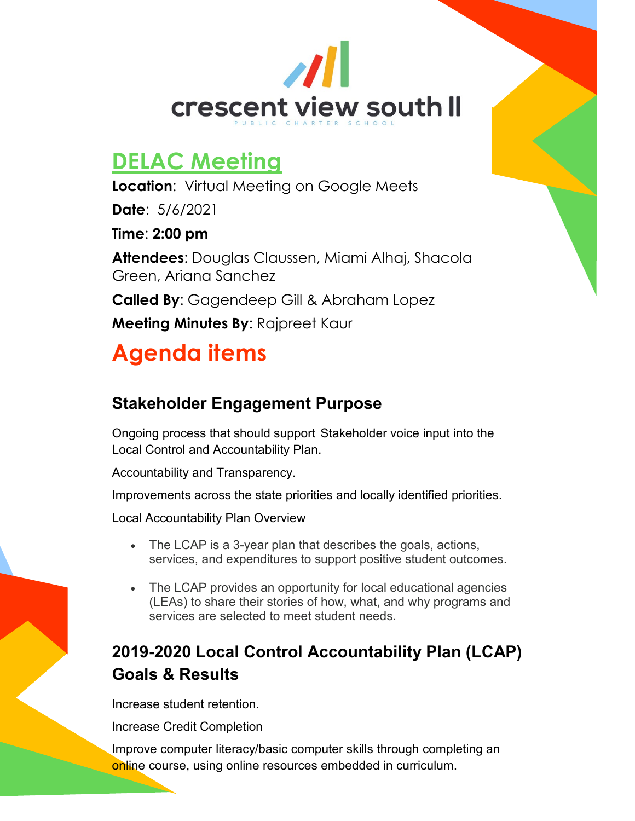

## **DELAC Meeting**

**Location**: Virtual Meeting on Google Meets **Date**: 5/6/2021

**Time**: **2:00 pm** 

**Attendees**: Douglas Claussen, Miami Alhaj, Shacola Green, Ariana Sanchez

**Called By**: Gagendeep Gill & Abraham Lopez

**Meeting Minutes By**: Rajpreet Kaur

# **Agenda items**

## **Stakeholder Engagement Purpose**

Ongoing process that should support Stakeholder voice input into the Local Control and Accountability Plan.

Accountability and Transparency.

Improvements across the state priorities and locally identified priorities.

Local Accountability Plan Overview

- The LCAP is a 3-year plan that describes the goals, actions, services, and expenditures to support positive student outcomes.
- The LCAP provides an opportunity for local educational agencies (LEAs) to share their stories of how, what, and why programs and services are selected to meet student needs.

## **2019-2020 Local Control Accountability Plan (LCAP) Goals & Results**

Increase student retention.

Increase Credit Completion

Improve computer literacy/basic computer skills through completing an online course, using online resources embedded in curriculum.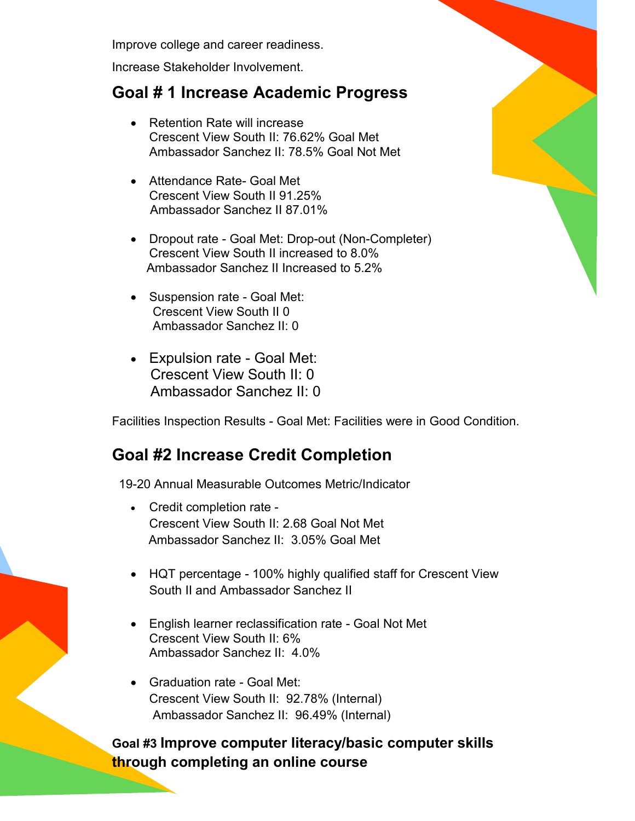Improve college and career readiness.

Increase Stakeholder Involvement.

#### **Goal # 1 Increase Academic Progress**

- Retention Rate will increase Crescent View South II: 76.62% Goal Met Ambassador Sanchez II: 78.5% Goal Not Met
- Attendance Rate- Goal Met Crescent View South II 91.25% Ambassador Sanchez II 87.01%
- Dropout rate Goal Met: Drop-out (Non-Completer) Crescent View South II increased to 8.0% Ambassador Sanchez II Increased to 5.2%
- Suspension rate Goal Met: Crescent View South II 0 Ambassador Sanchez II: 0
- Expulsion rate Goal Met: Crescent View South II: 0 Ambassador Sanchez II: 0

Facilities Inspection Results - Goal Met: Facilities were in Good Condition.

## **Goal #2 Increase Credit Completion**

19-20 Annual Measurable Outcomes Metric/Indicator

- Credit completion rate Crescent View South II: 2.68 Goal Not Met Ambassador Sanchez II: 3.05% Goal Met
- HQT percentage 100% highly qualified staff for Crescent View South II and Ambassador Sanchez II
- English learner reclassification rate Goal Not Met Crescent View South II: 6% Ambassador Sanchez II: 4.0%
- Graduation rate Goal Met: Crescent View South II: 92.78% (Internal) Ambassador Sanchez II: 96.49% (Internal)

**Goal #3 Improve computer literacy/basic computer skills through completing an online course**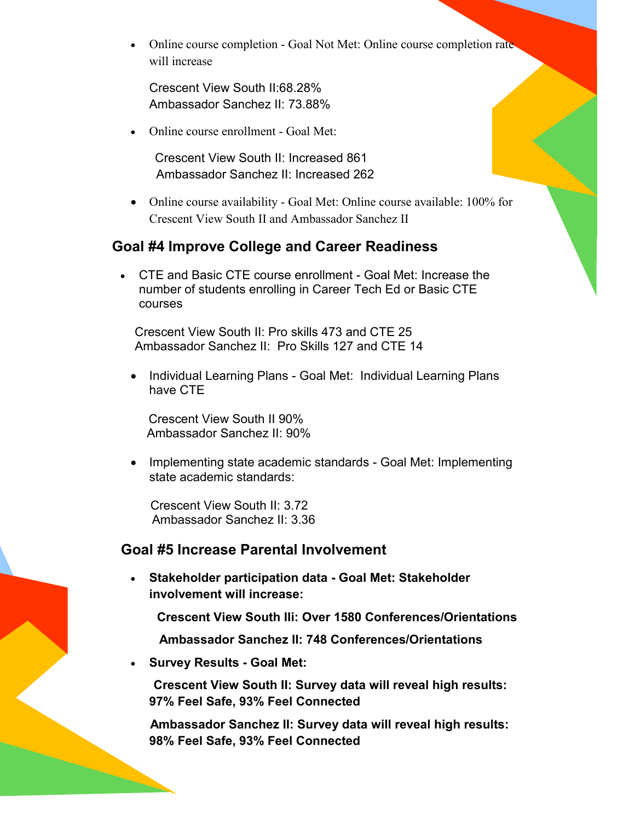• Online course completion - Goal Not Met: Online course completion rate will increase

Crescent View South II:68.28% Ambassador Sanchez II: 73.88%

• Online course enrollment - Goal Met:

 Crescent View South II: Increased 861 Ambassador Sanchez II: Increased 262

• Online course availability - Goal Met: Online course available: 100% for Crescent View South II and Ambassador Sanchez II

#### **Goal #4 Improve College and Career Readiness**

• CTE and Basic CTE course enrollment - Goal Met: Increase the number of students enrolling in Career Tech Ed or Basic CTE courses

 Crescent View South II: Pro skills 473 and CTE 25 Ambassador Sanchez II: Pro Skills 127 and CTE 14

• Individual Learning Plans - Goal Met: Individual Learning Plans have CTE

 Crescent View South II 90% Ambassador Sanchez II: 90%

• Implementing state academic standards - Goal Met: Implementing state academic standards:

 Crescent View South II: 3.72 Ambassador Sanchez II: 3.36

#### **Goal #5 Increase Parental Involvement**

• **Stakeholder participation data - Goal Met: Stakeholder involvement will increase:**

 **Crescent View South IIi: Over 1580 Conferences/Orientations**

 **Ambassador Sanchez II: 748 Conferences/Orientations**

• **Survey Results - Goal Met:**

**Crescent View South II: Survey data will reveal high results: 97% Feel Safe, 93% Feel Connected**

 **Ambassador Sanchez II: Survey data will reveal high results: 98% Feel Safe, 93% Feel Connected**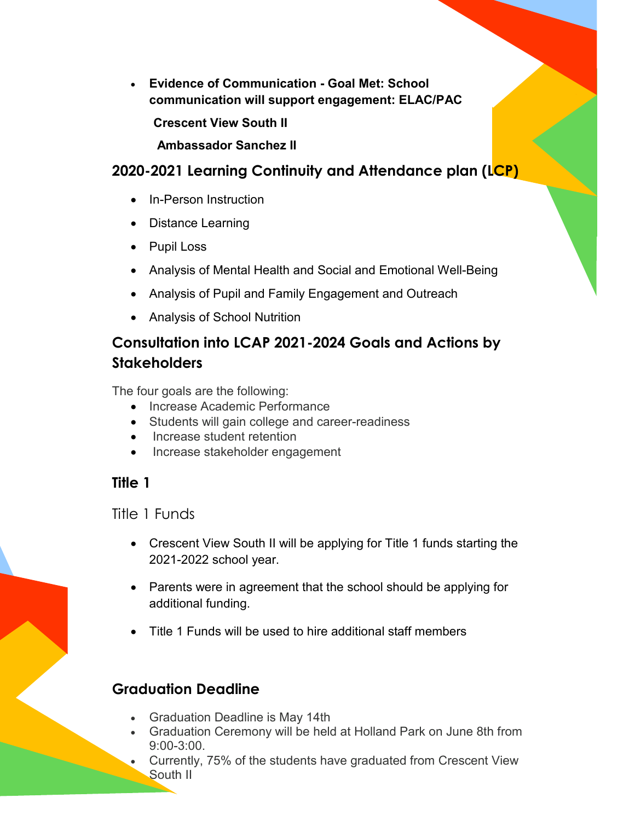• **Evidence of Communication - Goal Met: School communication will support engagement: ELAC/PAC**

 **Crescent View South II**

 **Ambassador Sanchez II**

#### **2020-2021 Learning Continuity and Attendance plan (LCP)**

- In-Person Instruction
- Distance Learning
- Pupil Loss
- Analysis of Mental Health and Social and Emotional Well-Being
- Analysis of Pupil and Family Engagement and Outreach
- Analysis of School Nutrition

#### **Consultation into LCAP 2021-2024 Goals and Actions by Stakeholders**

The four goals are the following:

- Increase Academic Performance
- Students will gain college and career-readiness
- Increase student retention
- Increase stakeholder engagement

## **Title 1**

Title 1 Funds

- Crescent View South II will be applying for Title 1 funds starting the 2021-2022 school year.
- Parents were in agreement that the school should be applying for additional funding.
- Title 1 Funds will be used to hire additional staff members

#### **Graduation Deadline**

- Graduation Deadline is May 14th
- Graduation Ceremony will be held at Holland Park on June 8th from 9:00-3:00.
- Currently, 75% of the students have graduated from Crescent View South II